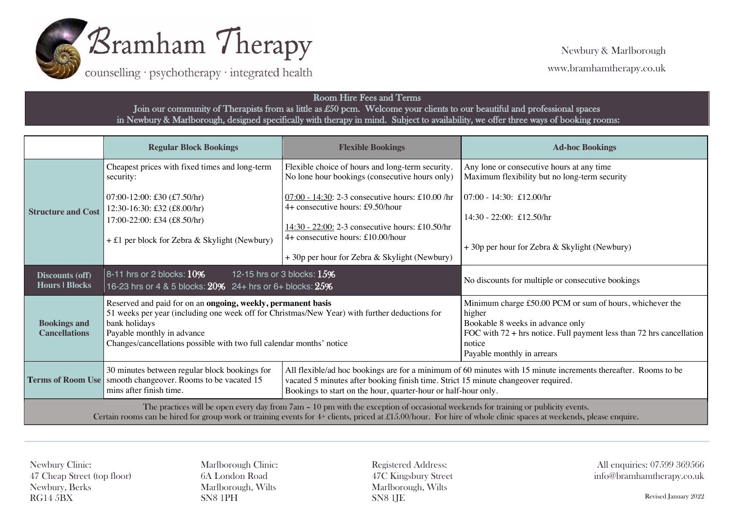

counselling · psychotherapy · integrated health

## Room Hire Fees and Terms Join our community of Therapists from as little as £50 pcm. Welcome your clients to our beautiful and professional spaces in Newbury & Marlborough, designed specifically with therapy in mind. Subject to availability, we offer three ways of booking rooms:

|                                                                                                                                                                                                                                                                                                       | <b>Regular Block Bookings</b>                                                                                                                                                                                                                                                        | <b>Flexible Bookings</b>                                                                                                                                                                                                                                               | <b>Ad-hoc Bookings</b>                                                                                                                                                                                                   |
|-------------------------------------------------------------------------------------------------------------------------------------------------------------------------------------------------------------------------------------------------------------------------------------------------------|--------------------------------------------------------------------------------------------------------------------------------------------------------------------------------------------------------------------------------------------------------------------------------------|------------------------------------------------------------------------------------------------------------------------------------------------------------------------------------------------------------------------------------------------------------------------|--------------------------------------------------------------------------------------------------------------------------------------------------------------------------------------------------------------------------|
| <b>Structure and Cost</b>                                                                                                                                                                                                                                                                             | Cheapest prices with fixed times and long-term<br>security:                                                                                                                                                                                                                          | Flexible choice of hours and long-term security.<br>No lone hour bookings (consecutive hours only)                                                                                                                                                                     | Any lone or consecutive hours at any time<br>Maximum flexibility but no long-term security                                                                                                                               |
|                                                                                                                                                                                                                                                                                                       | 07:00-12:00: £30 $(f.50/hr)$<br>12:30-16:30: £32 (£8.00/hr)<br>17:00-22:00: £34 (£8.50/hr)                                                                                                                                                                                           | $07:00 - 14:30$ : 2-3 consecutive hours: £10.00 /hr<br>4+ consecutive hours: £9.50/hour                                                                                                                                                                                | $07:00 - 14:30$ : £12.00/hr<br>$14:30 - 22:00$ : £12.50/hr                                                                                                                                                               |
|                                                                                                                                                                                                                                                                                                       | $+$ £1 per block for Zebra & Skylight (Newbury)                                                                                                                                                                                                                                      | 14:30 - 22:00: 2-3 consecutive hours: £10.50/hr<br>4+ consecutive hours: £10.00/hour<br>+30p per hour for Zebra & Skylight (Newbury)                                                                                                                                   | +30p per hour for Zebra & Skylight (Newbury)                                                                                                                                                                             |
| Discounts (off)<br><b>Hours   Blocks</b>                                                                                                                                                                                                                                                              | 8-11 hrs or 2 blocks: $10\%$<br>12-15 hrs or 3 blocks: $15\%$<br>16-23 hrs or 4 & 5 blocks: 20% 24+ hrs or 6+ blocks: 25%                                                                                                                                                            |                                                                                                                                                                                                                                                                        | No discounts for multiple or consecutive bookings                                                                                                                                                                        |
| <b>Bookings and</b><br><b>Cancellations</b>                                                                                                                                                                                                                                                           | Reserved and paid for on an ongoing, weekly, permanent basis<br>51 weeks per year (including one week off for Christmas/New Year) with further deductions for<br>bank holidays<br>Payable monthly in advance<br>Changes/cancellations possible with two full calendar months' notice |                                                                                                                                                                                                                                                                        | Minimum charge £50.00 PCM or sum of hours, whichever the<br>higher<br>Bookable 8 weeks in advance only<br>FOC with $72 + hrs$ notice. Full payment less than 72 hrs cancellation<br>notice<br>Payable monthly in arrears |
|                                                                                                                                                                                                                                                                                                       | 30 minutes between regular block bookings for<br><b>Terms of Room Use</b> smooth changeover. Rooms to be vacated 15<br>mins after finish time.                                                                                                                                       | All flexible/ad hoc bookings are for a minimum of 60 minutes with 15 minute increments thereafter. Rooms to be<br>vacated 5 minutes after booking finish time. Strict 15 minute changeover required.<br>Bookings to start on the hour, quarter-hour or half-hour only. |                                                                                                                                                                                                                          |
| The practices will be open every day from 7am - 10 pm with the exception of occasional weekends for training or publicity events.<br>Certain rooms can be hired for group work or training events for 4+ clients, priced at £15.00/hour. For hire of whole clinic spaces at weekends, please enquire. |                                                                                                                                                                                                                                                                                      |                                                                                                                                                                                                                                                                        |                                                                                                                                                                                                                          |

Newbury Clinic: 47 Cheap Street (top floor) Newbury, Berks RG14 5BX

Marlborough Clinic: 6A London Road Marlborough, Wilts SN8 1PH

Registered Address: 47C Kingsbury Street Marlborough, Wilts SN8 1JE

All enquiries: 07599 369566 info@bramhamtherapy.co.uk